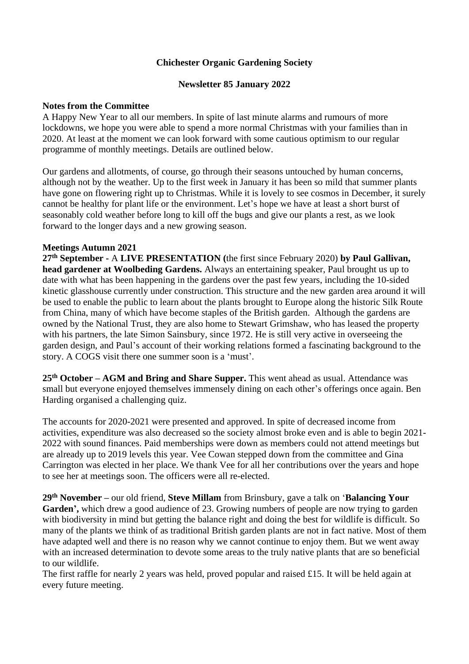# **Chichester Organic Gardening Society**

## **Newsletter 85 January 2022**

### **Notes from the Committee**

A Happy New Year to all our members. In spite of last minute alarms and rumours of more lockdowns, we hope you were able to spend a more normal Christmas with your families than in 2020. At least at the moment we can look forward with some cautious optimism to our regular programme of monthly meetings. Details are outlined below.

Our gardens and allotments, of course, go through their seasons untouched by human concerns, although not by the weather. Up to the first week in January it has been so mild that summer plants have gone on flowering right up to Christmas. While it is lovely to see cosmos in December, it surely cannot be healthy for plant life or the environment. Let's hope we have at least a short burst of seasonably cold weather before long to kill off the bugs and give our plants a rest, as we look forward to the longer days and a new growing season.

### **Meetings Autumn 2021**

**27 th September -** A **LIVE PRESENTATION (**the first since February 2020) **by Paul Gallivan, head gardener at Woolbeding Gardens.** Always an entertaining speaker, Paul brought us up to date with what has been happening in the gardens over the past few years, including the 10-sided kinetic glasshouse currently under construction. This structure and the new garden area around it will be used to enable the public to learn about the plants brought to Europe along the historic Silk Route from China, many of which have become staples of the British garden. Although the gardens are owned by the National Trust, they are also home to Stewart Grimshaw, who has leased the property with his partners, the late Simon Sainsbury, since 1972. He is still very active in overseeing the garden design, and Paul's account of their working relations formed a fascinating background to the story. A COGS visit there one summer soon is a 'must'.

**25th October – AGM and Bring and Share Supper.** This went ahead as usual. Attendance was small but everyone enjoyed themselves immensely dining on each other's offerings once again. Ben Harding organised a challenging quiz.

The accounts for 2020-2021 were presented and approved. In spite of decreased income from activities, expenditure was also decreased so the society almost broke even and is able to begin 2021- 2022 with sound finances. Paid memberships were down as members could not attend meetings but are already up to 2019 levels this year. Vee Cowan stepped down from the committee and Gina Carrington was elected in her place. We thank Vee for all her contributions over the years and hope to see her at meetings soon. The officers were all re-elected.

**29th November –** our old friend, **Steve Millam** from Brinsbury, gave a talk on '**Balancing Your**  Garden', which drew a good audience of 23. Growing numbers of people are now trying to garden with biodiversity in mind but getting the balance right and doing the best for wildlife is difficult. So many of the plants we think of as traditional British garden plants are not in fact native. Most of them have adapted well and there is no reason why we cannot continue to enjoy them. But we went away with an increased determination to devote some areas to the truly native plants that are so beneficial to our wildlife.

The first raffle for nearly 2 years was held, proved popular and raised £15. It will be held again at every future meeting.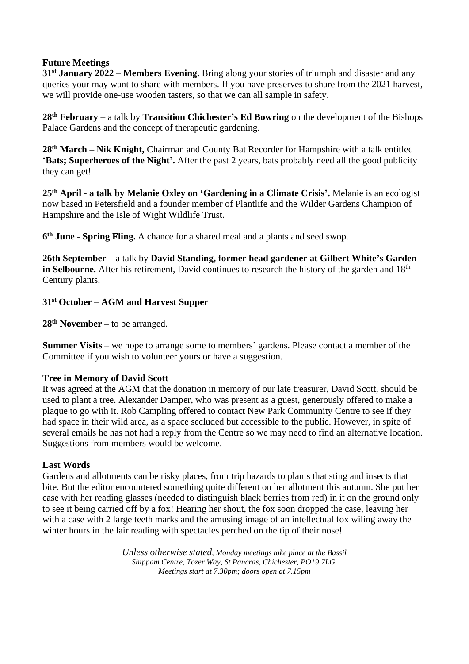## **Future Meetings**

**31st January 2022 – Members Evening.** Bring along your stories of triumph and disaster and any queries your may want to share with members. If you have preserves to share from the 2021 harvest, we will provide one-use wooden tasters, so that we can all sample in safety.

**28th February –** a talk by **Transition Chichester's Ed Bowring** on the development of the Bishops Palace Gardens and the concept of therapeutic gardening.

**28th March – Nik Knight,** Chairman and County Bat Recorder for Hampshire with a talk entitled '**Bats; Superheroes of the Night'.** After the past 2 years, bats probably need all the good publicity they can get!

**25th April - a talk by Melanie Oxley on 'Gardening in a Climate Crisis'.** Melanie is an ecologist now based in Petersfield and a founder member of Plantlife and the Wilder Gardens Champion of Hampshire and the Isle of Wight Wildlife Trust.

**6 th June - Spring Fling.** A chance for a shared meal and a plants and seed swop.

**26th September –** a talk by **David Standing, former head gardener at Gilbert White's Garden in Selbourne.** After his retirement, David continues to research the history of the garden and 18<sup>th</sup> Century plants.

### **31st October – AGM and Harvest Supper**

**28th November –** to be arranged.

**Summer Visits** – we hope to arrange some to members' gardens. Please contact a member of the Committee if you wish to volunteer yours or have a suggestion.

### **Tree in Memory of David Scott**

It was agreed at the AGM that the donation in memory of our late treasurer, David Scott, should be used to plant a tree. Alexander Damper, who was present as a guest, generously offered to make a plaque to go with it. Rob Campling offered to contact New Park Community Centre to see if they had space in their wild area, as a space secluded but accessible to the public. However, in spite of several emails he has not had a reply from the Centre so we may need to find an alternative location. Suggestions from members would be welcome.

### **Last Words**

Gardens and allotments can be risky places, from trip hazards to plants that sting and insects that bite. But the editor encountered something quite different on her allotment this autumn. She put her case with her reading glasses (needed to distinguish black berries from red) in it on the ground only to see it being carried off by a fox! Hearing her shout, the fox soon dropped the case, leaving her with a case with 2 large teeth marks and the amusing image of an intellectual fox wiling away the winter hours in the lair reading with spectacles perched on the tip of their nose!

> *Unless otherwise stated, Monday meetings take place at the Bassil Shippam Centre, Tozer Way, St Pancras, Chichester, PO19 7LG. Meetings start at 7.30pm; doors open at 7.15pm*